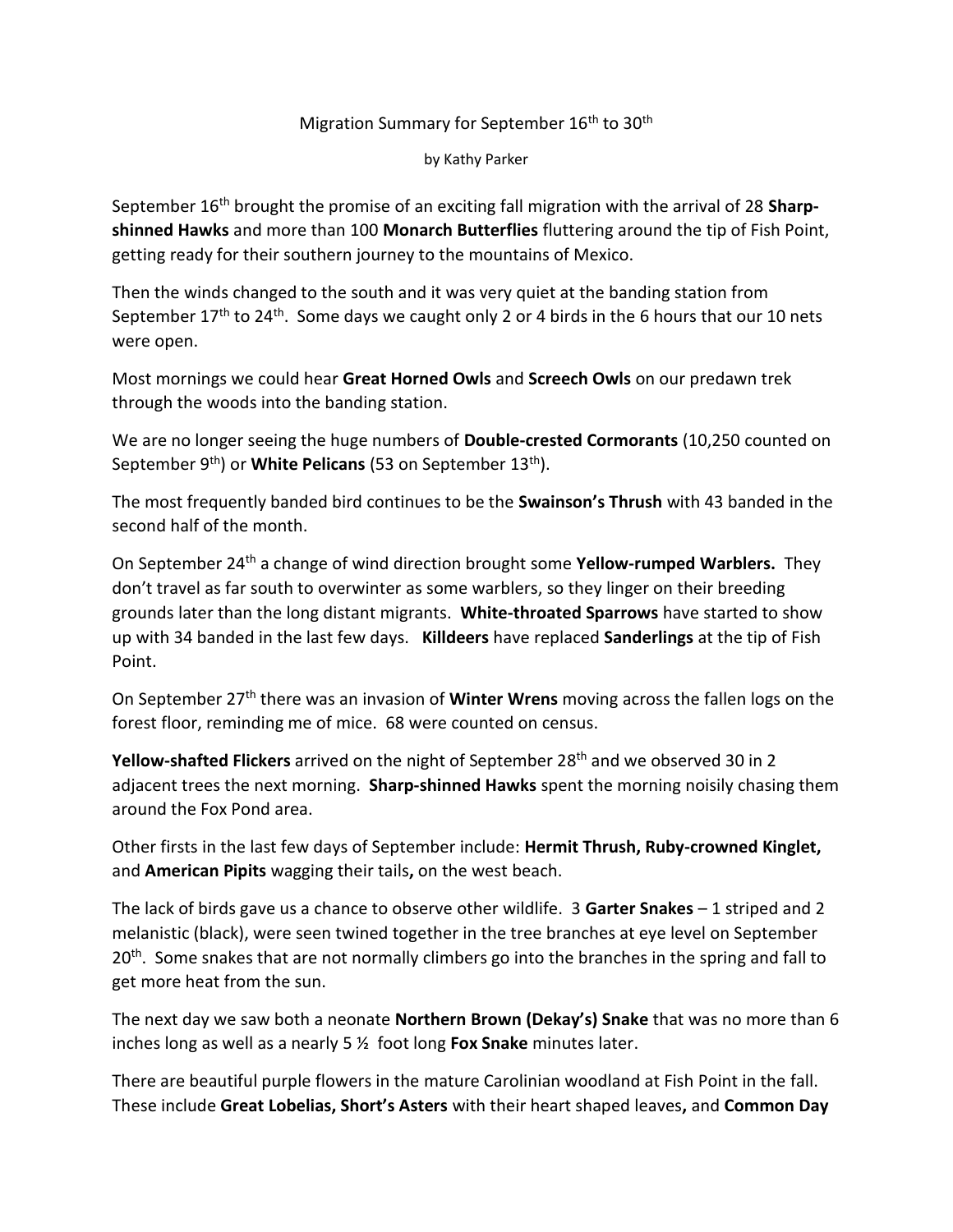## Migration Summary for September 16<sup>th</sup> to 30<sup>th</sup>

by Kathy Parker

September 16th brought the promise of an exciting fall migration with the arrival of 28 **Sharpshinned Hawks** and more than 100 **Monarch Butterflies** fluttering around the tip of Fish Point, getting ready for their southern journey to the mountains of Mexico.

Then the winds changed to the south and it was very quiet at the banding station from September  $17<sup>th</sup>$  to  $24<sup>th</sup>$ . Some days we caught only 2 or 4 birds in the 6 hours that our 10 nets were open.

Most mornings we could hear **Great Horned Owls** and **Screech Owls** on our predawn trek through the woods into the banding station.

We are no longer seeing the huge numbers of **Double-crested Cormorants** (10,250 counted on September 9<sup>th</sup>) or **White Pelicans** (53 on September 13<sup>th</sup>).

The most frequently banded bird continues to be the **Swainson's Thrush** with 43 banded in the second half of the month.

On September 24th a change of wind direction brought some **Yellow-rumped Warblers.** They don't travel as far south to overwinter as some warblers, so they linger on their breeding grounds later than the long distant migrants. **White-throated Sparrows** have started to show up with 34 banded in the last few days. **Killdeers** have replaced **Sanderlings** at the tip of Fish Point.

On September 27th there was an invasion of **Winter Wrens** moving across the fallen logs on the forest floor, reminding me of mice. 68 were counted on census.

Yellow-shafted Flickers arrived on the night of September 28<sup>th</sup> and we observed 30 in 2 adjacent trees the next morning. **Sharp-shinned Hawks** spent the morning noisily chasing them around the Fox Pond area.

Other firsts in the last few days of September include: **Hermit Thrush, Ruby-crowned Kinglet,**  and **American Pipits** wagging their tails**,** on the west beach.

The lack of birds gave us a chance to observe other wildlife. 3 **Garter Snakes** – 1 striped and 2 melanistic (black), were seen twined together in the tree branches at eye level on September 20<sup>th</sup>. Some snakes that are not normally climbers go into the branches in the spring and fall to get more heat from the sun.

The next day we saw both a neonate **Northern Brown (Dekay's) Snake** that was no more than 6 inches long as well as a nearly 5 ½ foot long **Fox Snake** minutes later.

There are beautiful purple flowers in the mature Carolinian woodland at Fish Point in the fall. These include **Great Lobelias, Short's Asters** with their heart shaped leaves**,** and **Common Day**